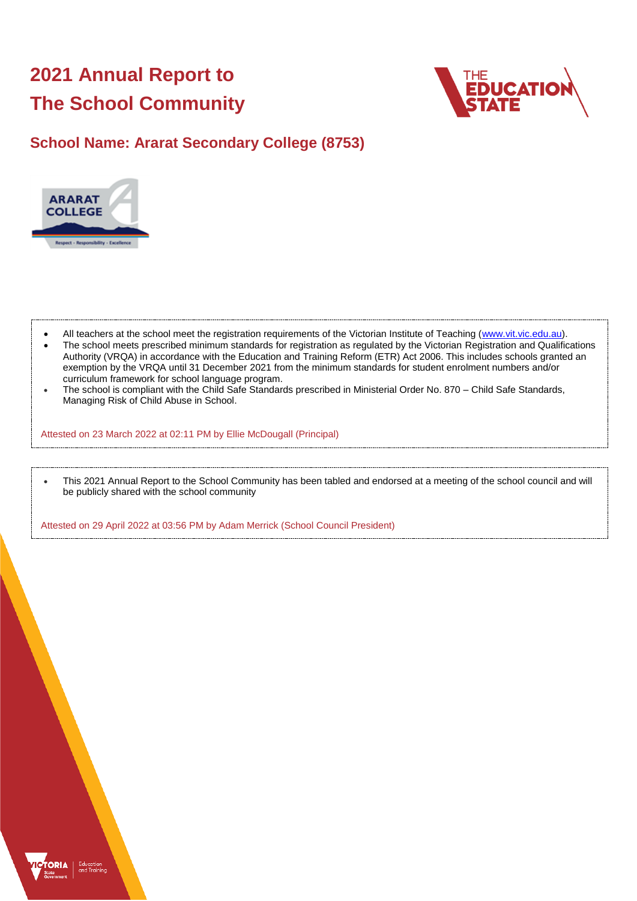# **2021 Annual Report to The School Community**



## **School Name: Ararat Secondary College (8753)**



- All teachers at the school meet the registration requirements of the Victorian Institute of Teaching [\(www.vit.vic.edu.au\)](https://www.vit.vic.edu.au/).
- The school meets prescribed minimum standards for registration as regulated by the Victorian Registration and Qualifications Authority (VRQA) in accordance with the Education and Training Reform (ETR) Act 2006. This includes schools granted an exemption by the VRQA until 31 December 2021 from the minimum standards for student enrolment numbers and/or curriculum framework for school language program.
- The school is compliant with the Child Safe Standards prescribed in Ministerial Order No. 870 Child Safe Standards, Managing Risk of Child Abuse in School.

Attested on 23 March 2022 at 02:11 PM by Ellie McDougall (Principal)

 This 2021 Annual Report to the School Community has been tabled and endorsed at a meeting of the school council and will be publicly shared with the school community

Attested on 29 April 2022 at 03:56 PM by Adam Merrick (School Council President)

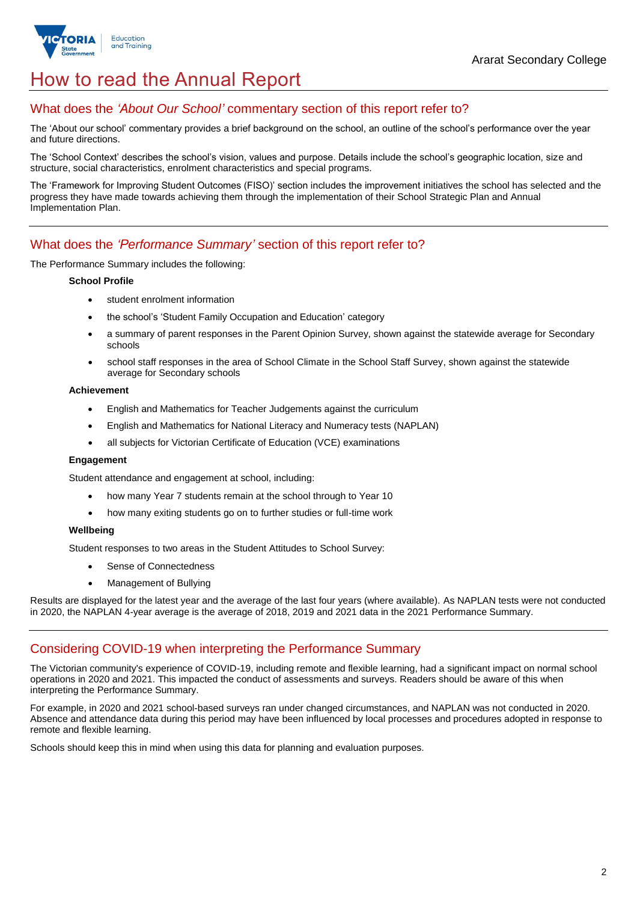

## How to read the Annual Report

## What does the *'About Our School'* commentary section of this report refer to?

The 'About our school' commentary provides a brief background on the school, an outline of the school's performance over the year and future directions.

The 'School Context' describes the school's vision, values and purpose. Details include the school's geographic location, size and structure, social characteristics, enrolment characteristics and special programs.

The 'Framework for Improving Student Outcomes (FISO)' section includes the improvement initiatives the school has selected and the progress they have made towards achieving them through the implementation of their School Strategic Plan and Annual Implementation Plan.

## What does the *'Performance Summary'* section of this report refer to?

The Performance Summary includes the following:

#### **School Profile**

- student enrolment information
- the school's 'Student Family Occupation and Education' category
- a summary of parent responses in the Parent Opinion Survey, shown against the statewide average for Secondary schools
- school staff responses in the area of School Climate in the School Staff Survey, shown against the statewide average for Secondary schools

#### **Achievement**

- English and Mathematics for Teacher Judgements against the curriculum
- English and Mathematics for National Literacy and Numeracy tests (NAPLAN)
- all subjects for Victorian Certificate of Education (VCE) examinations

#### **Engagement**

Student attendance and engagement at school, including:

- how many Year 7 students remain at the school through to Year 10
- how many exiting students go on to further studies or full-time work

#### **Wellbeing**

Student responses to two areas in the Student Attitudes to School Survey:

- Sense of Connectedness
- Management of Bullying

Results are displayed for the latest year and the average of the last four years (where available). As NAPLAN tests were not conducted in 2020, the NAPLAN 4-year average is the average of 2018, 2019 and 2021 data in the 2021 Performance Summary.

## Considering COVID-19 when interpreting the Performance Summary

The Victorian community's experience of COVID-19, including remote and flexible learning, had a significant impact on normal school operations in 2020 and 2021. This impacted the conduct of assessments and surveys. Readers should be aware of this when interpreting the Performance Summary.

For example, in 2020 and 2021 school-based surveys ran under changed circumstances, and NAPLAN was not conducted in 2020. Absence and attendance data during this period may have been influenced by local processes and procedures adopted in response to remote and flexible learning.

Schools should keep this in mind when using this data for planning and evaluation purposes.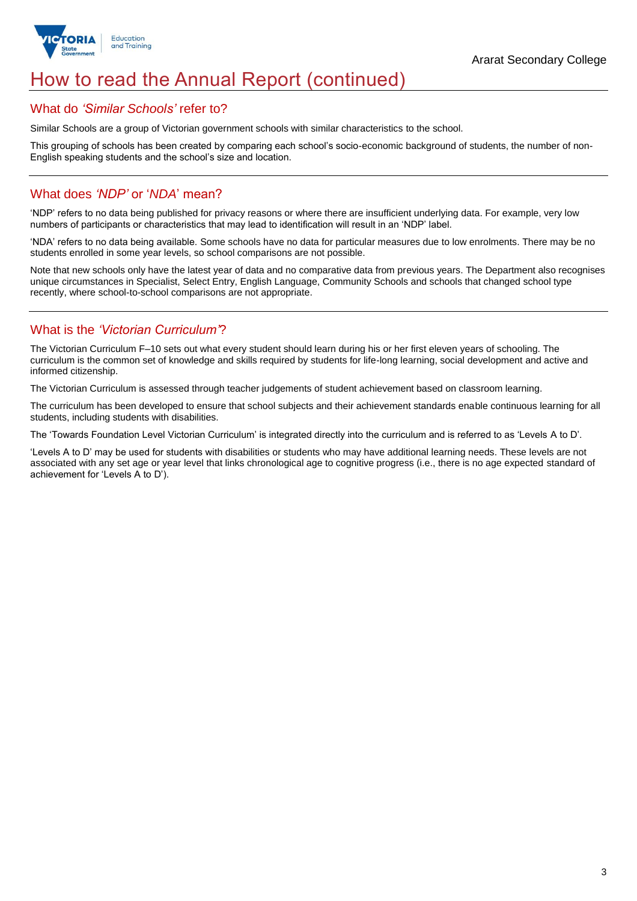

## How to read the Annual Report (continued)

### What do *'Similar Schools'* refer to?

Similar Schools are a group of Victorian government schools with similar characteristics to the school.

This grouping of schools has been created by comparing each school's socio-economic background of students, the number of non-English speaking students and the school's size and location.

## What does *'NDP'* or '*NDA*' mean?

'NDP' refers to no data being published for privacy reasons or where there are insufficient underlying data. For example, very low numbers of participants or characteristics that may lead to identification will result in an 'NDP' label.

'NDA' refers to no data being available. Some schools have no data for particular measures due to low enrolments. There may be no students enrolled in some year levels, so school comparisons are not possible.

Note that new schools only have the latest year of data and no comparative data from previous years. The Department also recognises unique circumstances in Specialist, Select Entry, English Language, Community Schools and schools that changed school type recently, where school-to-school comparisons are not appropriate.

## What is the *'Victorian Curriculum'*?

The Victorian Curriculum F–10 sets out what every student should learn during his or her first eleven years of schooling. The curriculum is the common set of knowledge and skills required by students for life-long learning, social development and active and informed citizenship.

The Victorian Curriculum is assessed through teacher judgements of student achievement based on classroom learning.

The curriculum has been developed to ensure that school subjects and their achievement standards enable continuous learning for all students, including students with disabilities.

The 'Towards Foundation Level Victorian Curriculum' is integrated directly into the curriculum and is referred to as 'Levels A to D'.

'Levels A to D' may be used for students with disabilities or students who may have additional learning needs. These levels are not associated with any set age or year level that links chronological age to cognitive progress (i.e., there is no age expected standard of achievement for 'Levels A to D').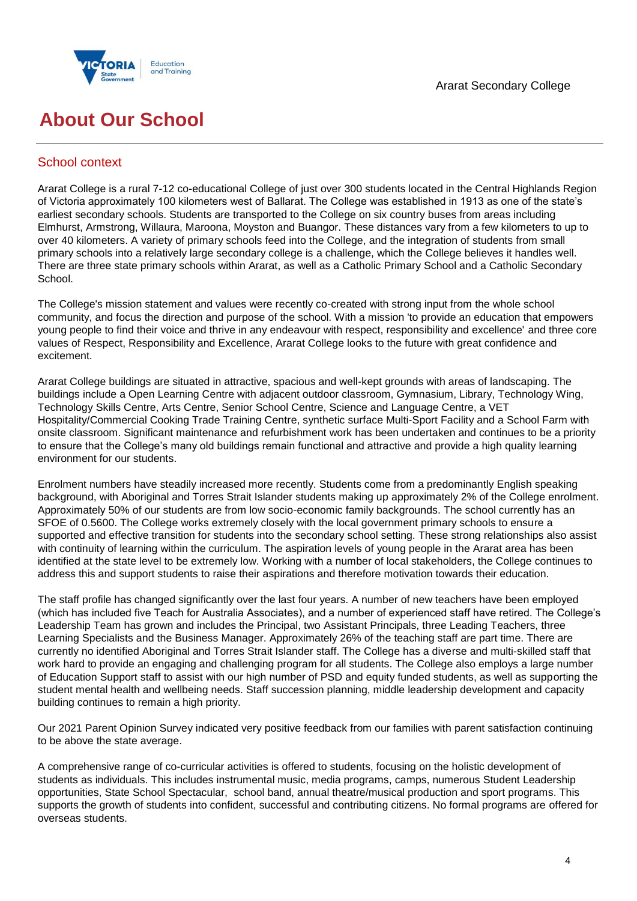



## **About Our School**

## School context

Ararat College is a rural 7-12 co-educational College of just over 300 students located in the Central Highlands Region of Victoria approximately 100 kilometers west of Ballarat. The College was established in 1913 as one of the state's earliest secondary schools. Students are transported to the College on six country buses from areas including Elmhurst, Armstrong, Willaura, Maroona, Moyston and Buangor. These distances vary from a few kilometers to up to over 40 kilometers. A variety of primary schools feed into the College, and the integration of students from small primary schools into a relatively large secondary college is a challenge, which the College believes it handles well. There are three state primary schools within Ararat, as well as a Catholic Primary School and a Catholic Secondary School.

The College's mission statement and values were recently co-created with strong input from the whole school community, and focus the direction and purpose of the school. With a mission 'to provide an education that empowers young people to find their voice and thrive in any endeavour with respect, responsibility and excellence' and three core values of Respect, Responsibility and Excellence, Ararat College looks to the future with great confidence and excitement.

Ararat College buildings are situated in attractive, spacious and well-kept grounds with areas of landscaping. The buildings include a Open Learning Centre with adjacent outdoor classroom, Gymnasium, Library, Technology Wing, Technology Skills Centre, Arts Centre, Senior School Centre, Science and Language Centre, a VET Hospitality/Commercial Cooking Trade Training Centre, synthetic surface Multi-Sport Facility and a School Farm with onsite classroom. Significant maintenance and refurbishment work has been undertaken and continues to be a priority to ensure that the College's many old buildings remain functional and attractive and provide a high quality learning environment for our students.

Enrolment numbers have steadily increased more recently. Students come from a predominantly English speaking background, with Aboriginal and Torres Strait Islander students making up approximately 2% of the College enrolment. Approximately 50% of our students are from low socio-economic family backgrounds. The school currently has an SFOE of 0.5600. The College works extremely closely with the local government primary schools to ensure a supported and effective transition for students into the secondary school setting. These strong relationships also assist with continuity of learning within the curriculum. The aspiration levels of young people in the Ararat area has been identified at the state level to be extremely low. Working with a number of local stakeholders, the College continues to address this and support students to raise their aspirations and therefore motivation towards their education.

The staff profile has changed significantly over the last four years. A number of new teachers have been employed (which has included five Teach for Australia Associates), and a number of experienced staff have retired. The College's Leadership Team has grown and includes the Principal, two Assistant Principals, three Leading Teachers, three Learning Specialists and the Business Manager. Approximately 26% of the teaching staff are part time. There are currently no identified Aboriginal and Torres Strait Islander staff. The College has a diverse and multi-skilled staff that work hard to provide an engaging and challenging program for all students. The College also employs a large number of Education Support staff to assist with our high number of PSD and equity funded students, as well as supporting the student mental health and wellbeing needs. Staff succession planning, middle leadership development and capacity building continues to remain a high priority.

Our 2021 Parent Opinion Survey indicated very positive feedback from our families with parent satisfaction continuing to be above the state average.

A comprehensive range of co-curricular activities is offered to students, focusing on the holistic development of students as individuals. This includes instrumental music, media programs, camps, numerous Student Leadership opportunities, State School Spectacular, school band, annual theatre/musical production and sport programs. This supports the growth of students into confident, successful and contributing citizens. No formal programs are offered for overseas students.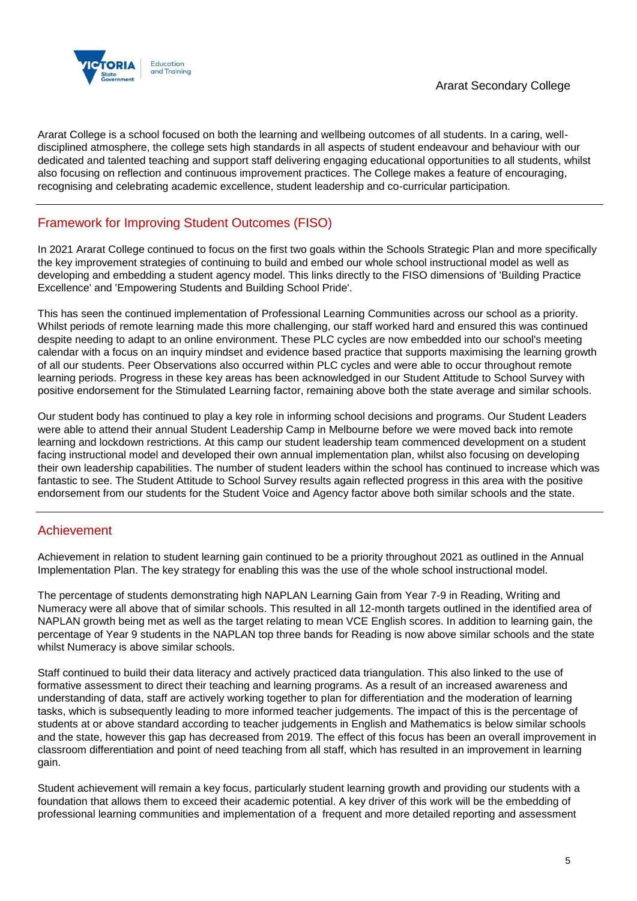

Ararat College is a school focused on both the learning and wellbeing outcomes of all students. In a caring, welldisciplined atmosphere, the college sets high standards in all aspects of student endeavour and behaviour with our dedicated and talented teaching and support staff delivering engaging educational opportunities to all students, whilst also focusing on reflection and continuous improvement practices. The College makes a feature of encouraging, recognising and celebrating academic excellence, student leadership and co-curricular participation.

## Framework for Improving Student Outcomes (FISO)

In 2021 Ararat College continued to focus on the first two goals within the Schools Strategic Plan and more specifically the key improvement strategies of continuing to build and embed our whole school instructional model as well as developing and embedding a student agency model. This links directly to the FISO dimensions of 'Building Practice Excellence' and 'Empowering Students and Building School Pride'.

This has seen the continued implementation of Professional Learning Communities across our school as a priority. Whilst periods of remote learning made this more challenging, our staff worked hard and ensured this was continued despite needing to adapt to an online environment. These PLC cycles are now embedded into our school's meeting calendar with a focus on an inquiry mindset and evidence based practice that supports maximising the learning growth of all our students. Peer Observations also occurred within PLC cycles and were able to occur throughout remote learning periods. Progress in these key areas has been acknowledged in our Student Attitude to School Survey with positive endorsement for the Stimulated Learning factor, remaining above both the state average and similar schools.

Our student body has continued to play a key role in informing school decisions and programs. Our Student Leaders were able to attend their annual Student Leadership Camp in Melbourne before we were moved back into remote learning and lockdown restrictions. At this camp our student leadership team commenced development on a student facing instructional model and developed their own annual implementation plan, whilst also focusing on developing their own leadership capabilities. The number of student leaders within the school has continued to increase which was fantastic to see. The Student Attitude to School Survey results again reflected progress in this area with the positive endorsement from our students for the Student Voice and Agency factor above both similar schools and the state.

## Achievement

Achievement in relation to student learning gain continued to be a priority throughout 2021 as outlined in the Annual Implementation Plan. The key strategy for enabling this was the use of the whole school instructional model.

The percentage of students demonstrating high NAPLAN Learning Gain from Year 7-9 in Reading, Writing and Numeracy were all above that of similar schools. This resulted in all 12-month targets outlined in the identified area of NAPLAN growth being met as well as the target relating to mean VCE English scores. In addition to learning gain, the percentage of Year 9 students in the NAPLAN top three bands for Reading is now above similar schools and the state whilst Numeracy is above similar schools.

Staff continued to build their data literacy and actively practiced data triangulation. This also linked to the use of formative assessment to direct their teaching and learning programs. As a result of an increased awareness and understanding of data, staff are actively working together to plan for differentiation and the moderation of learning tasks, which is subsequently leading to more informed teacher judgements. The impact of this is the percentage of students at or above standard according to teacher judgements in English and Mathematics is below similar schools and the state, however this gap has decreased from 2019. The effect of this focus has been an overall improvement in classroom differentiation and point of need teaching from all staff, which has resulted in an improvement in learning gain.

Student achievement will remain a key focus, particularly student learning growth and providing our students with a foundation that allows them to exceed their academic potential. A key driver of this work will be the embedding of professional learning communities and implementation of a frequent and more detailed reporting and assessment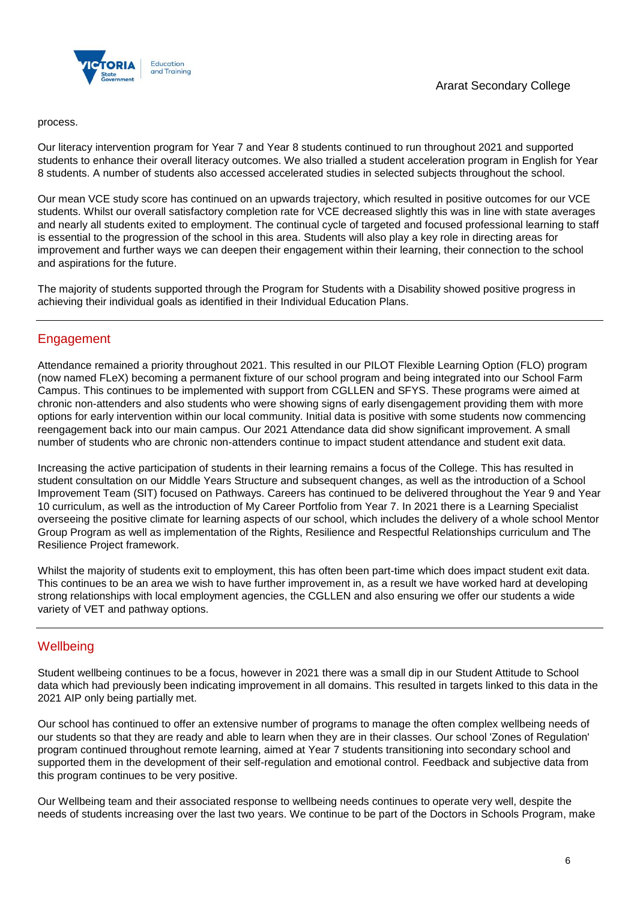

#### process.

Our literacy intervention program for Year 7 and Year 8 students continued to run throughout 2021 and supported students to enhance their overall literacy outcomes. We also trialled a student acceleration program in English for Year 8 students. A number of students also accessed accelerated studies in selected subjects throughout the school.

Our mean VCE study score has continued on an upwards trajectory, which resulted in positive outcomes for our VCE students. Whilst our overall satisfactory completion rate for VCE decreased slightly this was in line with state averages and nearly all students exited to employment. The continual cycle of targeted and focused professional learning to staff is essential to the progression of the school in this area. Students will also play a key role in directing areas for improvement and further ways we can deepen their engagement within their learning, their connection to the school and aspirations for the future.

The majority of students supported through the Program for Students with a Disability showed positive progress in achieving their individual goals as identified in their Individual Education Plans.

## **Engagement**

Attendance remained a priority throughout 2021. This resulted in our PILOT Flexible Learning Option (FLO) program (now named FLeX) becoming a permanent fixture of our school program and being integrated into our School Farm Campus. This continues to be implemented with support from CGLLEN and SFYS. These programs were aimed at chronic non-attenders and also students who were showing signs of early disengagement providing them with more options for early intervention within our local community. Initial data is positive with some students now commencing reengagement back into our main campus. Our 2021 Attendance data did show significant improvement. A small number of students who are chronic non-attenders continue to impact student attendance and student exit data.

Increasing the active participation of students in their learning remains a focus of the College. This has resulted in student consultation on our Middle Years Structure and subsequent changes, as well as the introduction of a School Improvement Team (SIT) focused on Pathways. Careers has continued to be delivered throughout the Year 9 and Year 10 curriculum, as well as the introduction of My Career Portfolio from Year 7. In 2021 there is a Learning Specialist overseeing the positive climate for learning aspects of our school, which includes the delivery of a whole school Mentor Group Program as well as implementation of the Rights, Resilience and Respectful Relationships curriculum and The Resilience Project framework.

Whilst the majority of students exit to employment, this has often been part-time which does impact student exit data. This continues to be an area we wish to have further improvement in, as a result we have worked hard at developing strong relationships with local employment agencies, the CGLLEN and also ensuring we offer our students a wide variety of VET and pathway options.

## **Wellbeing**

Student wellbeing continues to be a focus, however in 2021 there was a small dip in our Student Attitude to School data which had previously been indicating improvement in all domains. This resulted in targets linked to this data in the 2021 AIP only being partially met.

Our school has continued to offer an extensive number of programs to manage the often complex wellbeing needs of our students so that they are ready and able to learn when they are in their classes. Our school 'Zones of Regulation' program continued throughout remote learning, aimed at Year 7 students transitioning into secondary school and supported them in the development of their self-regulation and emotional control. Feedback and subjective data from this program continues to be very positive.

Our Wellbeing team and their associated response to wellbeing needs continues to operate very well, despite the needs of students increasing over the last two years. We continue to be part of the Doctors in Schools Program, make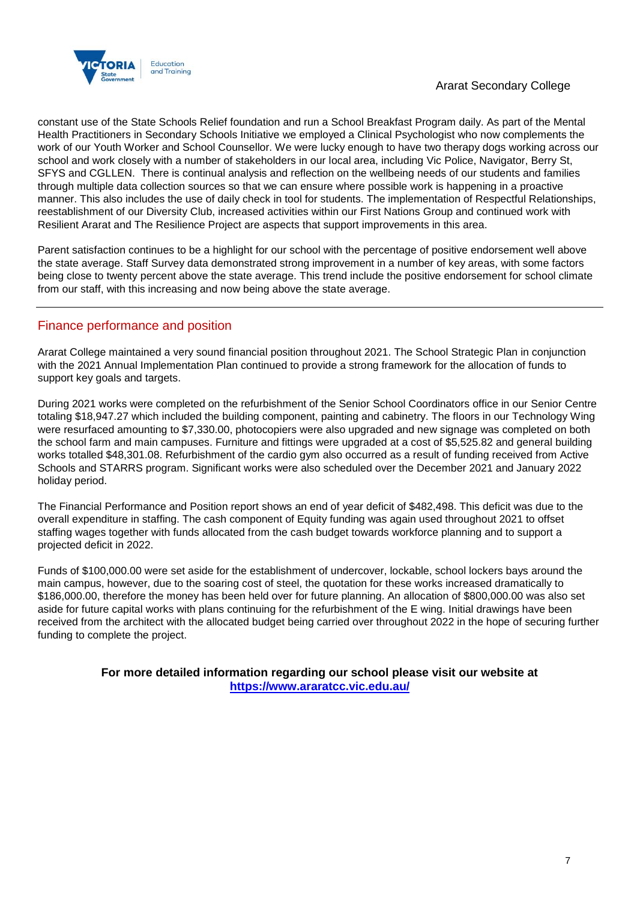

constant use of the State Schools Relief foundation and run a School Breakfast Program daily. As part of the Mental Health Practitioners in Secondary Schools Initiative we employed a Clinical Psychologist who now complements the work of our Youth Worker and School Counsellor. We were lucky enough to have two therapy dogs working across our school and work closely with a number of stakeholders in our local area, including Vic Police, Navigator, Berry St, SFYS and CGLLEN. There is continual analysis and reflection on the wellbeing needs of our students and families through multiple data collection sources so that we can ensure where possible work is happening in a proactive manner. This also includes the use of daily check in tool for students. The implementation of Respectful Relationships, reestablishment of our Diversity Club, increased activities within our First Nations Group and continued work with Resilient Ararat and The Resilience Project are aspects that support improvements in this area.

Parent satisfaction continues to be a highlight for our school with the percentage of positive endorsement well above the state average. Staff Survey data demonstrated strong improvement in a number of key areas, with some factors being close to twenty percent above the state average. This trend include the positive endorsement for school climate from our staff, with this increasing and now being above the state average.

## Finance performance and position

Ararat College maintained a very sound financial position throughout 2021. The School Strategic Plan in conjunction with the 2021 Annual Implementation Plan continued to provide a strong framework for the allocation of funds to support key goals and targets.

During 2021 works were completed on the refurbishment of the Senior School Coordinators office in our Senior Centre totaling \$18,947.27 which included the building component, painting and cabinetry. The floors in our Technology Wing were resurfaced amounting to \$7,330.00, photocopiers were also upgraded and new signage was completed on both the school farm and main campuses. Furniture and fittings were upgraded at a cost of \$5,525.82 and general building works totalled \$48,301.08. Refurbishment of the cardio gym also occurred as a result of funding received from Active Schools and STARRS program. Significant works were also scheduled over the December 2021 and January 2022 holiday period.

The Financial Performance and Position report shows an end of year deficit of \$482,498. This deficit was due to the overall expenditure in staffing. The cash component of Equity funding was again used throughout 2021 to offset staffing wages together with funds allocated from the cash budget towards workforce planning and to support a projected deficit in 2022.

Funds of \$100,000.00 were set aside for the establishment of undercover, lockable, school lockers bays around the main campus, however, due to the soaring cost of steel, the quotation for these works increased dramatically to \$186,000.00, therefore the money has been held over for future planning. An allocation of \$800,000.00 was also set aside for future capital works with plans continuing for the refurbishment of the E wing. Initial drawings have been received from the architect with the allocated budget being carried over throughout 2022 in the hope of securing further funding to complete the project.

> **For more detailed information regarding our school please visit our website at <https://www.araratcc.vic.edu.au/>**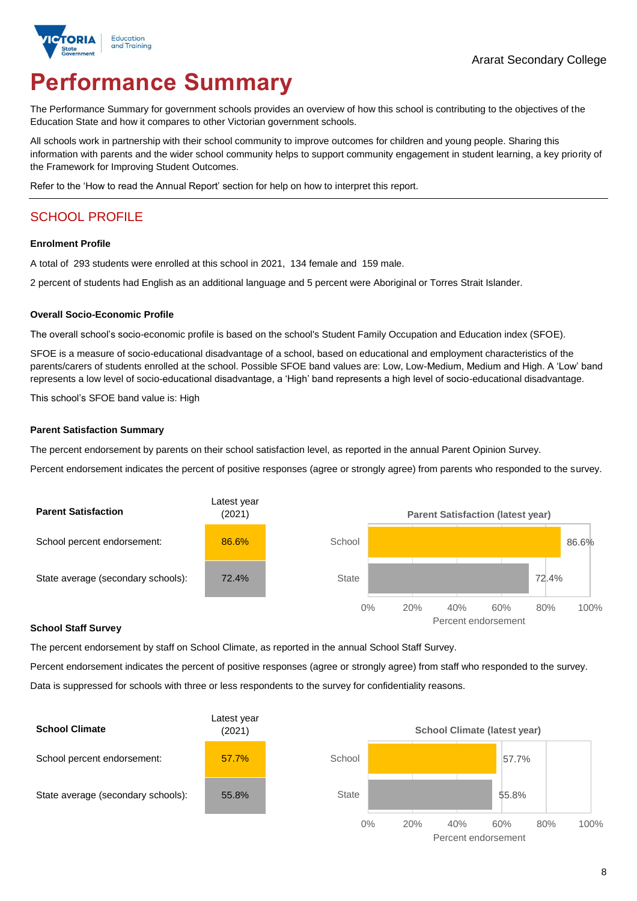

# **Performance Summary**

The Performance Summary for government schools provides an overview of how this school is contributing to the objectives of the Education State and how it compares to other Victorian government schools.

All schools work in partnership with their school community to improve outcomes for children and young people. Sharing this information with parents and the wider school community helps to support community engagement in student learning, a key priority of the Framework for Improving Student Outcomes.

Refer to the 'How to read the Annual Report' section for help on how to interpret this report.

## SCHOOL PROFILE

#### **Enrolment Profile**

A total of 293 students were enrolled at this school in 2021, 134 female and 159 male.

2 percent of students had English as an additional language and 5 percent were Aboriginal or Torres Strait Islander.

#### **Overall Socio-Economic Profile**

The overall school's socio-economic profile is based on the school's Student Family Occupation and Education index (SFOE).

SFOE is a measure of socio-educational disadvantage of a school, based on educational and employment characteristics of the parents/carers of students enrolled at the school. Possible SFOE band values are: Low, Low-Medium, Medium and High. A 'Low' band represents a low level of socio-educational disadvantage, a 'High' band represents a high level of socio-educational disadvantage.

This school's SFOE band value is: High

#### **Parent Satisfaction Summary**

The percent endorsement by parents on their school satisfaction level, as reported in the annual Parent Opinion Survey.

Percent endorsement indicates the percent of positive responses (agree or strongly agree) from parents who responded to the survey.



#### **School Staff Survey**

The percent endorsement by staff on School Climate, as reported in the annual School Staff Survey.

Percent endorsement indicates the percent of positive responses (agree or strongly agree) from staff who responded to the survey. Data is suppressed for schools with three or less respondents to the survey for confidentiality reasons.

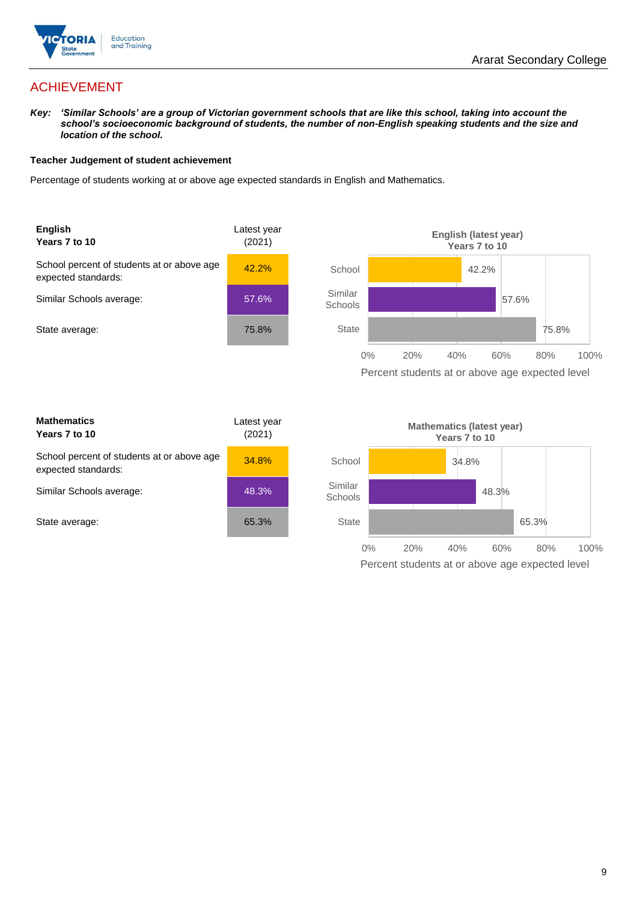

## ACHIEVEMENT

*Key: 'Similar Schools' are a group of Victorian government schools that are like this school, taking into account the school's socioeconomic background of students, the number of non-English speaking students and the size and location of the school.*

#### **Teacher Judgement of student achievement**

Percentage of students working at or above age expected standards in English and Mathematics.



| <b>Mathematics</b><br>Years 7 to 10                               | Latest year<br>(2021) |  |
|-------------------------------------------------------------------|-----------------------|--|
| School percent of students at or above age<br>expected standards: | 34.8%                 |  |
| Similar Schools average:                                          | 48.3%                 |  |
| State average:                                                    | 65.3%                 |  |

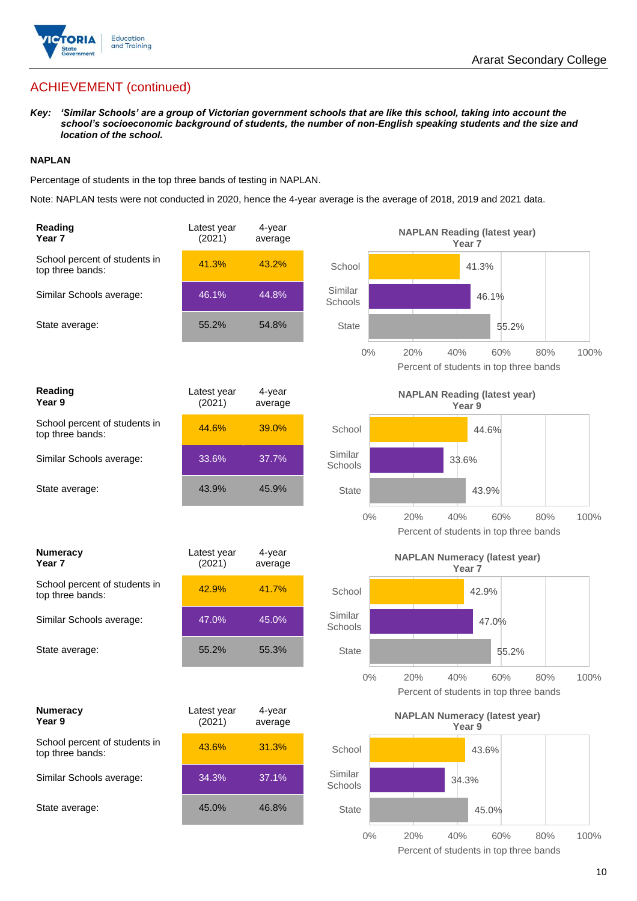

## ACHIEVEMENT (continued)

*Key: 'Similar Schools' are a group of Victorian government schools that are like this school, taking into account the school's socioeconomic background of students, the number of non-English speaking students and the size and location of the school.*

#### **NAPLAN**

Percentage of students in the top three bands of testing in NAPLAN.

Note: NAPLAN tests were not conducted in 2020, hence the 4-year average is the average of 2018, 2019 and 2021 data.

| Reading<br>Year <sub>7</sub>                      | Latest year<br>(2021) | 4-year<br>average | <b>NAPLAN Reading (latest year)</b><br>Year <sub>7</sub>                            |
|---------------------------------------------------|-----------------------|-------------------|-------------------------------------------------------------------------------------|
| School percent of students in<br>top three bands: | 41.3%                 | 43.2%             | School<br>41.3%                                                                     |
| Similar Schools average:                          | 46.1%                 | 44.8%             | Similar<br>46.1%<br>Schools                                                         |
| State average:                                    | 55.2%                 | 54.8%             | <b>State</b><br>55.2%                                                               |
|                                                   |                       |                   | 20%<br>40%<br>$0\%$<br>60%<br>80%<br>100%<br>Percent of students in top three bands |
| <b>Reading</b><br>Year 9                          | Latest year<br>(2021) | 4-year<br>average | <b>NAPLAN Reading (latest year)</b><br>Year 9                                       |
| School percent of students in<br>top three bands: | 44.6%                 | 39.0%             | School<br>44.6%                                                                     |
| Similar Schools average:                          | 33.6%                 | 37.7%             | Similar<br>33.6%<br>Schools                                                         |
| State average:                                    | 43.9%                 | 45.9%             | <b>State</b><br>43.9%                                                               |
|                                                   |                       |                   | 20%<br>$0\%$<br>40%<br>60%<br>80%<br>100%<br>Percent of students in top three bands |
| <b>Numeracy</b><br>Year <sub>7</sub>              | Latest year<br>(2021) | 4-year<br>average | <b>NAPLAN Numeracy (latest year)</b>                                                |
|                                                   |                       |                   | Year <sub>7</sub>                                                                   |
| School percent of students in<br>top three bands: | 42.9%                 | 41.7%             | School<br>42.9%                                                                     |
| Similar Schools average:                          | 47.0%                 | 45.0%             | Similar<br>47.0%<br>Schools                                                         |
| State average:                                    | 55.2%                 | 55.3%             | <b>State</b><br>55.2%                                                               |
|                                                   |                       |                   | $0\%$<br>20%<br>40%<br>60%<br>80%<br>100%<br>Percent of students in top three bands |
| <b>Numeracy</b><br>Year 9                         | Latest year<br>(2021) | 4-year<br>average | <b>NAPLAN Numeracy (latest year)</b><br>Year 9                                      |
| School percent of students in<br>top three bands: | 43.6%                 | 31.3%             | School<br>43.6%                                                                     |
| Similar Schools average:                          | 34.3%                 | 37.1%             | Similar<br>34.3%<br>Schools                                                         |
| State average:                                    | 45.0%                 | 46.8%             | <b>State</b><br>45.0%                                                               |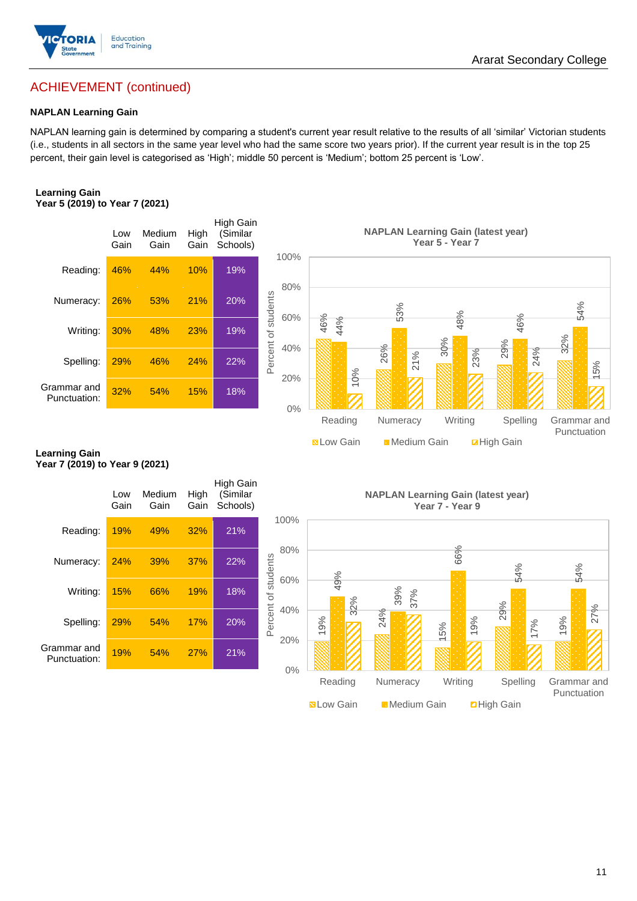

## ACHIEVEMENT (continued)

#### **NAPLAN Learning Gain**

NAPLAN learning gain is determined by comparing a student's current year result relative to the results of all 'similar' Victorian students (i.e., students in all sectors in the same year level who had the same score two years prior). If the current year result is in the top 25 percent, their gain level is categorised as 'High'; middle 50 percent is 'Medium'; bottom 25 percent is 'Low'.

#### **Learning Gain Year 5 (2019) to Year 7 (2021)**



#### **Learning Gain Year 7 (2019) to Year 9 (2021)**

|                             | Low<br>Gain | Medium<br>Gain | High<br>Gain | High Gain<br>(Similar<br>Schools) |                            |  |
|-----------------------------|-------------|----------------|--------------|-----------------------------------|----------------------------|--|
| Reading:                    | 19%         | 49%            | 32%          | 21%                               | 100%                       |  |
| Numeracy:                   | 24%         | <b>39%</b>     | 37%          | 22%                               | 80%                        |  |
| Writing:                    | 15%         | 66%            | 19%          | 18%                               | Percent of students<br>60% |  |
| Spelling:                   | 29%         | 54%            | 17%          | 20%                               | 40%                        |  |
| Grammar and<br>Punctuation: | 19%         | 54%            | 27%          | 21%                               | 20%                        |  |
|                             |             |                |              |                                   | 0%                         |  |

**NAPLAN Learning Gain (latest year) Year 7 - Year 9**

**N** Low Gain **Medium Gain E** High Gain

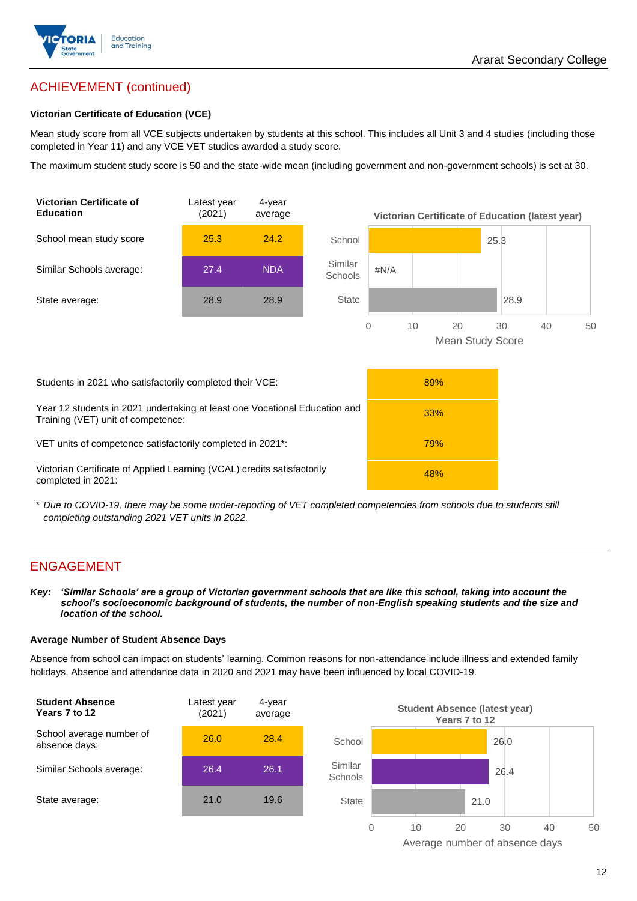

## ACHIEVEMENT (continued)

#### **Victorian Certificate of Education (VCE)**

Mean study score from all VCE subjects undertaken by students at this school. This includes all Unit 3 and 4 studies (including those completed in Year 11) and any VCE VET studies awarded a study score.

The maximum student study score is 50 and the state-wide mean (including government and non-government schools) is set at 30.



\* *Due to COVID-19, there may be some under-reporting of VET completed competencies from schools due to students still completing outstanding 2021 VET units in 2022.*

## ENGAGEMENT

*Key: 'Similar Schools' are a group of Victorian government schools that are like this school, taking into account the school's socioeconomic background of students, the number of non-English speaking students and the size and location of the school.*

#### **Average Number of Student Absence Days**

Absence from school can impact on students' learning. Common reasons for non-attendance include illness and extended family holidays. Absence and attendance data in 2020 and 2021 may have been influenced by local COVID-19.



Average number of absence days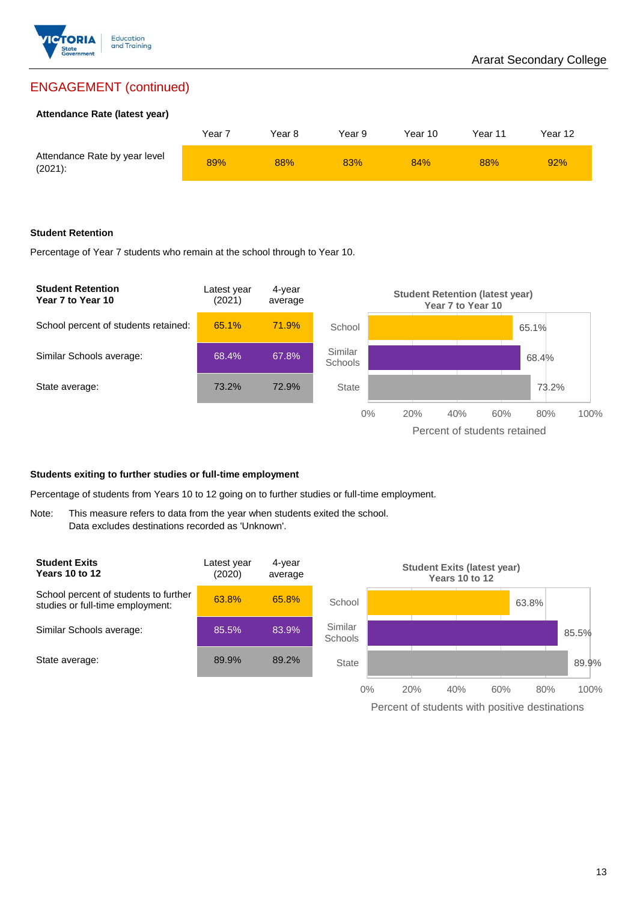

## ENGAGEMENT (continued)

#### **Attendance Rate (latest year)**

|                                             | Year i | Year 8 | Year 9 | Year 10 | Year 11 | Year 12 |
|---------------------------------------------|--------|--------|--------|---------|---------|---------|
| Attendance Rate by year level<br>$(2021)$ : | 89%    | 88%    | 83%    | 84%     | 88%     | 92%     |

#### **Student Retention**

Percentage of Year 7 students who remain at the school through to Year 10.



#### **Students exiting to further studies or full-time employment**

Percentage of students from Years 10 to 12 going on to further studies or full-time employment.

Note: This measure refers to data from the year when students exited the school. Data excludes destinations recorded as 'Unknown'.



Percent of students with positive destinations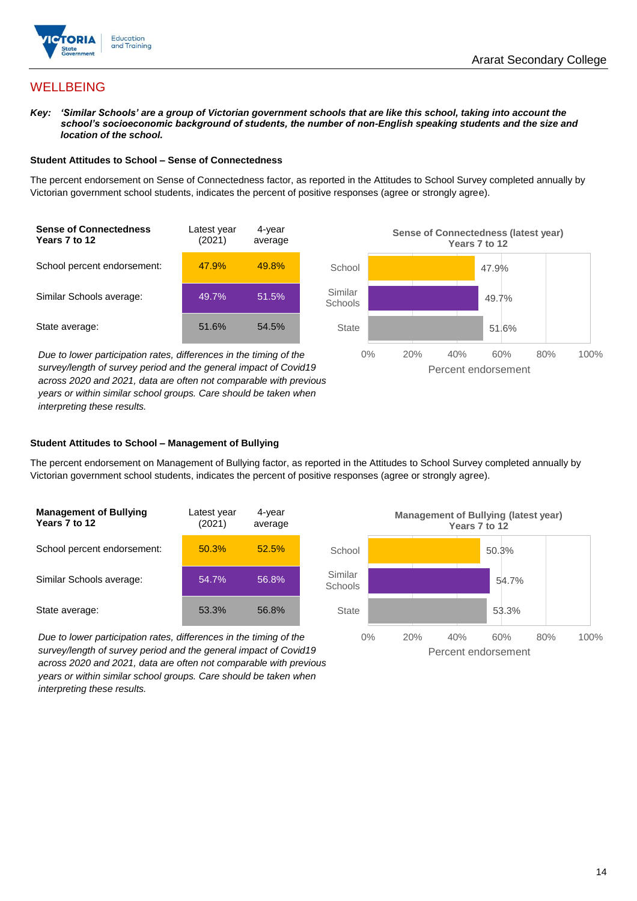

## **WELLBEING**

*Key: 'Similar Schools' are a group of Victorian government schools that are like this school, taking into account the school's socioeconomic background of students, the number of non-English speaking students and the size and location of the school.*

#### **Student Attitudes to School – Sense of Connectedness**

The percent endorsement on Sense of Connectedness factor, as reported in the Attitudes to School Survey completed annually by Victorian government school students, indicates the percent of positive responses (agree or strongly agree).



*Due to lower participation rates, differences in the timing of the survey/length of survey period and the general impact of Covid19 across 2020 and 2021, data are often not comparable with previous years or within similar school groups. Care should be taken when interpreting these results.*



#### **Student Attitudes to School – Management of Bullying**

The percent endorsement on Management of Bullying factor, as reported in the Attitudes to School Survey completed annually by Victorian government school students, indicates the percent of positive responses (agree or strongly agree).

| <b>Management of Bullying</b><br>Years 7 to 12 | Latest year<br>(2021) | 4-year<br>average |  |
|------------------------------------------------|-----------------------|-------------------|--|
| School percent endorsement:                    | 50.3%                 | 52.5%             |  |
| Similar Schools average:                       | 54.7%                 | 56.8%             |  |
| State average:                                 | 53.3%                 | 56.8%             |  |

*Due to lower participation rates, differences in the timing of the survey/length of survey period and the general impact of Covid19 across 2020 and 2021, data are often not comparable with previous years or within similar school groups. Care should be taken when interpreting these results.*

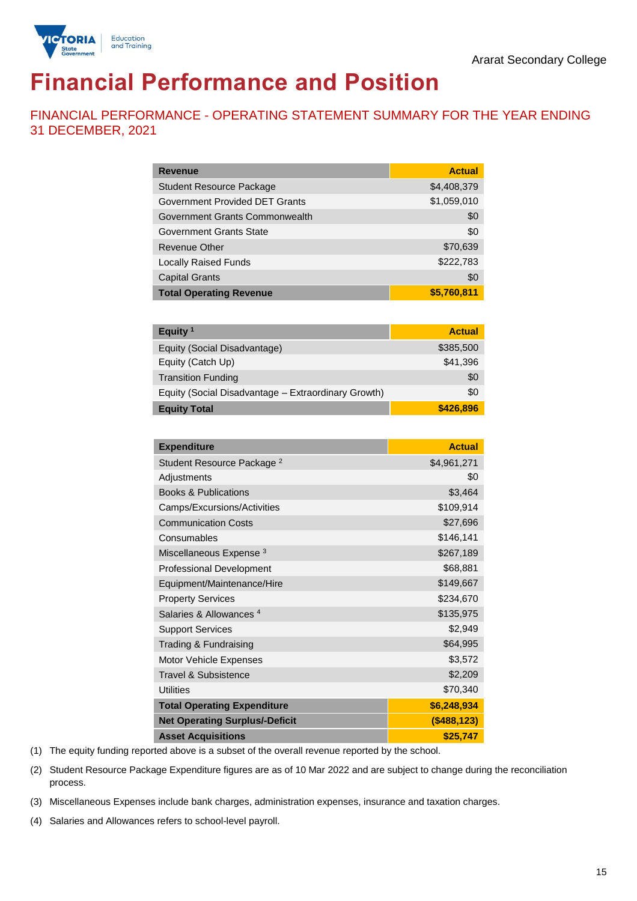

## **Financial Performance and Position**

FINANCIAL PERFORMANCE - OPERATING STATEMENT SUMMARY FOR THE YEAR ENDING 31 DECEMBER, 2021

| <b>Revenue</b>                  | <b>Actual</b> |
|---------------------------------|---------------|
| <b>Student Resource Package</b> | \$4,408,379   |
| Government Provided DET Grants  | \$1,059,010   |
| Government Grants Commonwealth  | \$0           |
| Government Grants State         | \$0           |
| <b>Revenue Other</b>            | \$70,639      |
| <b>Locally Raised Funds</b>     | \$222,783     |
| <b>Capital Grants</b>           | \$0           |
| <b>Total Operating Revenue</b>  | \$5,760,811   |

| Equity <sup>1</sup>                                 | <b>Actual</b> |
|-----------------------------------------------------|---------------|
| Equity (Social Disadvantage)                        | \$385,500     |
| Equity (Catch Up)                                   | \$41,396      |
| <b>Transition Funding</b>                           | \$0           |
| Equity (Social Disadvantage - Extraordinary Growth) | \$0           |
| <b>Equity Total</b>                                 | \$426,896     |

| <b>Expenditure</b>                    | <b>Actual</b> |
|---------------------------------------|---------------|
| Student Resource Package <sup>2</sup> | \$4,961,271   |
| Adjustments                           | \$0           |
| <b>Books &amp; Publications</b>       | \$3,464       |
| Camps/Excursions/Activities           | \$109,914     |
| <b>Communication Costs</b>            | \$27,696      |
| Consumables                           | \$146,141     |
| Miscellaneous Expense <sup>3</sup>    | \$267,189     |
| <b>Professional Development</b>       | \$68,881      |
| Equipment/Maintenance/Hire            | \$149,667     |
| <b>Property Services</b>              | \$234,670     |
| Salaries & Allowances <sup>4</sup>    | \$135,975     |
| <b>Support Services</b>               | \$2,949       |
| Trading & Fundraising                 | \$64,995      |
| Motor Vehicle Expenses                | \$3,572       |
| <b>Travel &amp; Subsistence</b>       | \$2,209       |
| <b>Utilities</b>                      | \$70,340      |
| <b>Total Operating Expenditure</b>    | \$6,248,934   |
| <b>Net Operating Surplus/-Deficit</b> | (\$488,123)   |
| <b>Asset Acquisitions</b>             | \$25,747      |

(1) The equity funding reported above is a subset of the overall revenue reported by the school.

(2) Student Resource Package Expenditure figures are as of 10 Mar 2022 and are subject to change during the reconciliation process.

(3) Miscellaneous Expenses include bank charges, administration expenses, insurance and taxation charges.

(4) Salaries and Allowances refers to school-level payroll.